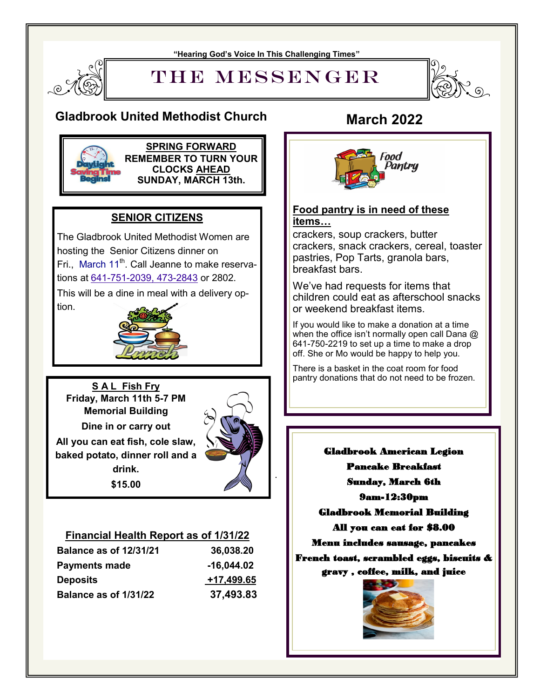#### **"Hearing God's Voice In This Challenging Times"**



THE MESSENGER



### **Gladbrook United Methodist Church March 2022**



**SPRING FORWARD REMEMBER TO TURN YOUR CLOCKS AHEAD SUNDAY, MARCH 13th.**

### **SENIOR CITIZENS**

The Gladbrook United Methodist Women are hosting the Senior Citizens dinner on Fri., March  $11^{th}$ . Call Jeanne to make reservations at 641-751-[2039, 473](callto:641-751-2039,%20473-2843)-2843 or 2802.

This will be a dine in meal with a delivery option.



**S A L Fish Fry Friday, March 11th 5-7 PM Memorial Building Dine in or carry out All you can eat fish, cole slaw, baked potato, dinner roll and a drink. \$15.00**



.

#### **Financial Health Report as of 1/31/22**

| <b>Balance as of 12/31/21</b> | 36,038.20    |
|-------------------------------|--------------|
| <b>Payments made</b>          | $-16,044.02$ |
| <b>Deposits</b>               | +17,499.65   |
| Balance as of 1/31/22         | 37,493.83    |



#### **Food pantry is in need of these items…**

crackers, soup crackers, butter crackers, snack crackers, cereal, toaster pastries, Pop Tarts, granola bars, breakfast bars.

We've had requests for items that children could eat as afterschool snacks or weekend breakfast items.

If you would like to make a donation at a time when the office isn't normally open call Dana  $@$ 641-750-2219 to set up a time to make a drop off. She or Mo would be happy to help you.

 There is a basket in the coat room for food pantry donations that do not need to be frozen.

 9am-12:30pm Pancake Breakfast Sunday, March 6th Gladbrook Memorial Building All you can eat for \$8.00 Menu includes sausage, pancakes French toast, scrambled eggs, biscuits & gravy , coffee, milk, and juice

Gladbrook American Legion

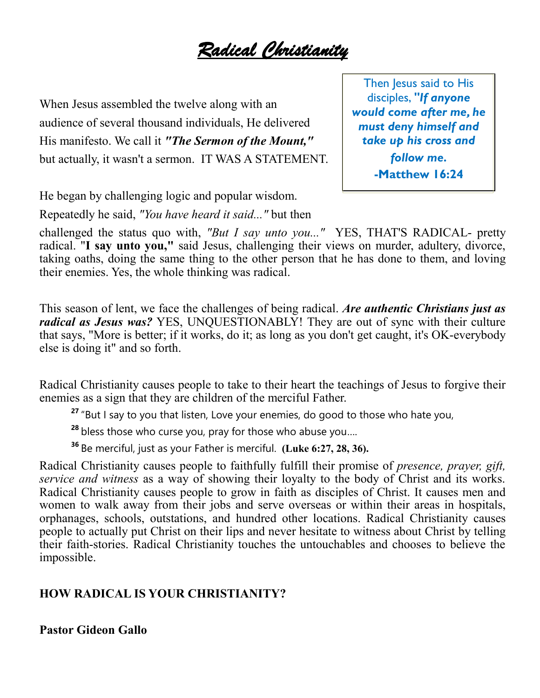*Radical Christianity* 

When Jesus assembled the twelve along with an audience of several thousand individuals, He delivered His manifesto. We call it *"The Sermon of the Mount,"* but actually, it wasn't a sermon. IT WAS A STATEMENT.

Then Jesus said to His disciples, *"If anyone would come after me, he must deny himself and take up his cross and follow me.* **-Matthew 16:24**

He began by challenging logic and popular wisdom. Repeatedly he said, *"You have heard it said..."* but then

challenged the status quo with, *"But I say unto you..."* YES, THAT'S RADICAL- pretty radical. "**I say unto you,"** said Jesus, challenging their views on murder, adultery, divorce, taking oaths, doing the same thing to the other person that he has done to them, and loving their enemies. Yes, the whole thinking was radical.

This season of lent, we face the challenges of being radical. *Are authentic Christians just as radical as Jesus was?* YES, UNQUESTIONABLY! They are out of sync with their culture that says, "More is better; if it works, do it; as long as you don't get caught, it's OK-everybody else is doing it" and so forth.

Radical Christianity causes people to take to their heart the teachings of Jesus to forgive their enemies as a sign that they are children of the merciful Father.

**27** "But I say to you that listen, Love your enemies, do good to those who hate you,

**<sup>28</sup>** bless those who curse you, pray for those who abuse you….

**<sup>36</sup>** Be merciful, just as your Father is merciful. **(Luke 6:27, 28, 36).**

Radical Christianity causes people to faithfully fulfill their promise of *presence, prayer, gift, service and witness* as a way of showing their loyalty to the body of Christ and its works. Radical Christianity causes people to grow in faith as disciples of Christ. It causes men and women to walk away from their jobs and serve overseas or within their areas in hospitals, orphanages, schools, outstations, and hundred other locations. Radical Christianity causes people to actually put Christ on their lips and never hesitate to witness about Christ by telling their faith-stories. Radical Christianity touches the untouchables and chooses to believe the impossible.

### **HOW RADICAL IS YOUR CHRISTIANITY?**

**Pastor Gideon Gallo**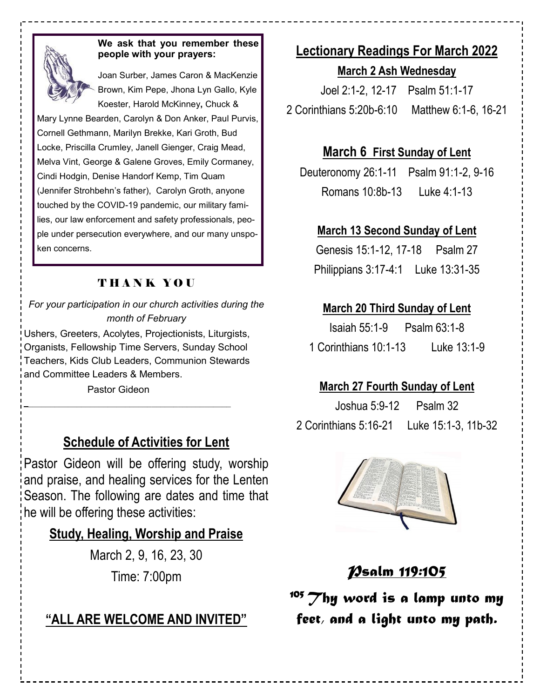

#### **We ask that you remember these people with your prayers:**

Joan Surber, James Caron & MacKenzie Brown, Kim Pepe, Jhona Lyn Gallo, Kyle Koester, Harold McKinney**,** Chuck &

Mary Lynne Bearden, Carolyn & Don Anker, Paul Purvis, Cornell Gethmann, Marilyn Brekke, Kari Groth, Bud Locke, Priscilla Crumley, Janell Gienger, Craig Mead, Melva Vint, George & Galene Groves, Emily Cormaney, Cindi Hodgin, Denise Handorf Kemp, Tim Quam (Jennifer Strohbehn's father), Carolyn Groth, anyone touched by the COVID-19 pandemic, our military families, our law enforcement and safety professionals, people under persecution everywhere, and our many unspoken concerns.

### THANK YOU

*For your participation in our church activities during the month of February* Ushers, Greeters, Acolytes, Projectionists, Liturgists,

Organists, Fellowship Time Servers, Sunday School Teachers, Kids Club Leaders, Communion Stewards and Committee Leaders & Members.

Pastor Gideon

## **Schedule of Activities for Lent**

Pastor Gideon will be offering study, worship and praise, and healing services for the Lenten Season. The following are dates and time that he will be offering these activities:

### **Study, Healing, Worship and Praise**

March 2, 9, 16, 23, 30 Time: 7:00pm

# **"ALL ARE WELCOME AND INVITED"**

# **Lectionary Readings For March 2022**

**March 2 Ash Wednesday**

[Joel 2:1-2, 12-17](https://lectionary.library.vanderbilt.edu/texts.php?id=117#hebrew_reading) Psalm 51:1-17 [2 Corinthians 5:20b-6:10](https://lectionary.library.vanderbilt.edu/texts.php?id=117#epistle_reading) Matthew 6:1-6, 16-21

## **March 6 First Sunday of Lent**

[Deuteronomy 26:1-11](https://lectionary.library.vanderbilt.edu/texts.php?id=118#hebrew_reading) Psalm 91:1-2, 9-16 [Romans 10:8b-13](https://lectionary.library.vanderbilt.edu/texts.php?id=118#epistle_reading) Luke 4:1-13

### **March 13 Second Sunday of Lent**

[Genesis 15:1-12, 17-18](https://lectionary.library.vanderbilt.edu/texts.php?id=119#hebrew_reading) Psalm 27 [Philippians 3:17-4:1](https://lectionary.library.vanderbilt.edu/texts.php?id=119#epistle_reading) [Luke 13:31-35](https://lectionary.library.vanderbilt.edu/texts.php?id=119#gospel_reading)

## **March 20 Third Sunday of Lent**

| Isaiah $55:1-9$       | Psalm 63:1-8 |
|-----------------------|--------------|
| 1 Corinthians 10:1-13 | Luke 13:1-9  |

## **March 27 Fourth Sunday of Lent**

[Joshua 5:9-12](https://lectionary.library.vanderbilt.edu/texts.php?id=121#hebrew_reading) Psalm 32 [2 Corinthians 5:16-21](https://lectionary.library.vanderbilt.edu/texts.php?id=121#epistle_reading) Luke 15:1-3, 11b-32



# *Psalm 119:105*

*<sup>105</sup>Thy word is a lamp unto my feet, and a light unto my path.*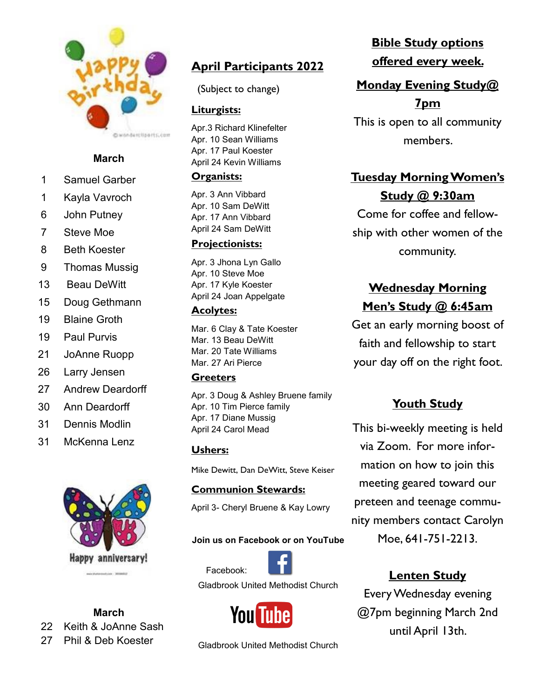

### **March**

- 1 Samuel Garber
- 1 Kayla Vavroch
- 6 John Putney
- 7 Steve Moe
- 8 Beth Koester
- 9 Thomas Mussig
- 13 Beau DeWitt
- 15 Doug Gethmann
- 19 Blaine Groth
- 19 Paul Purvis
- 21 JoAnne Ruopp
- 26 Larry Jensen
- 27 Andrew Deardorff
- 30 Ann Deardorff
- 31 Dennis Modlin
- 31 McKenna Lenz



### **March**

22 Keith & JoAnne Sash

27 Phil & Deb Koester

# **April Participants 2022**

(Subject to change)

### **Liturgists:**

Apr.3 Richard Klinefelter Apr. 10 Sean Williams Apr. 17 Paul Koester April 24 Kevin Williams

### **Organists:**

Apr. 3 Ann Vibbard Apr. 10 Sam DeWitt Apr. 17 Ann Vibbard April 24 Sam DeWitt

### **Projectionists:**

Apr. 3 Jhona Lyn Gallo Apr. 10 Steve Moe Apr. 17 Kyle Koester April 24 Joan Appelgate

### **Acolytes:**

Mar. 6 Clay & Tate Koester Mar. 13 Beau DeWitt Mar. 20 Tate Williams Mar. 27 Ari Pierce

### **Greeters**

Apr. 3 Doug & Ashley Bruene family Apr. 10 Tim Pierce family Apr. 17 Diane Mussig April 24 Carol Mead

### **Ushers:**

Mike Dewitt, Dan DeWitt, Steve Keiser

### **Communion Stewards:**

April 3- Cheryl Bruene & Kay Lowry

### **Join us on Facebook or on YouTube**



Gladbrook United Methodist Church



Gladbrook United Methodist Church

# **Bible Study options offered every week.**

# **Monday Evening Study@ 7pm**

This is open to all community members.

# **Tuesday Morning Women's Study @ 9:30am**

Come for coffee and fellowship with other women of the community.

# **Wednesday Morning Men's Study @ 6:45am**

Get an early morning boost of faith and fellowship to start your day off on the right foot.

### **Youth Study**

This bi-weekly meeting is held via Zoom. For more information on how to join this meeting geared toward our preteen and teenage community members contact Carolyn Moe, 641-751-2213.

### **Lenten Study**

Every Wednesday evening @7pm beginning March 2nd until April 13th.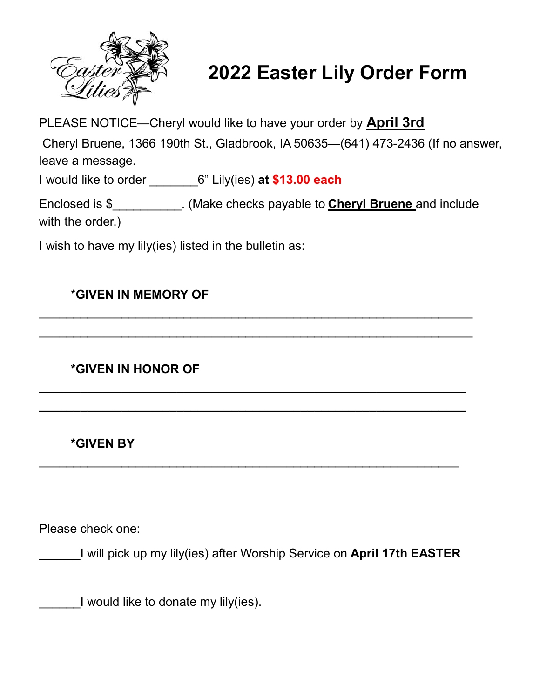

# **2022 Easter Lily Order Form**

PLEASE NOTICE—Cheryl would like to have your order by **April 3rd**

Cheryl Bruene, 1366 190th St., Gladbrook, IA 50635—(641) 473-2436 (If no answer, leave a message.

I would like to order \_\_\_\_\_\_\_6" Lily(ies) **at \$13.00 each** 

Enclosed is \$\_\_\_\_\_\_\_\_\_\_. (Make checks payable to **Cheryl Bruene** and include with the order.)

 $\mathcal{L}_\text{max}$  , and the contract of the contract of the contract of the contract of the contract of the contract of the contract of the contract of the contract of the contract of the contract of the contract of the contr

 $\mathcal{L}_\text{max}$  , and the contract of the contract of the contract of the contract of the contract of the contract of the contract of the contract of the contract of the contract of the contract of the contract of the contr

 $\mathcal{L}_\text{max}$  , and the contract of the contract of the contract of the contract of the contract of the contract of the contract of the contract of the contract of the contract of the contract of the contract of the contr

**\_\_\_\_\_\_\_\_\_\_\_\_\_\_\_\_\_\_\_\_\_\_\_\_\_\_\_\_\_\_\_\_\_\_\_\_\_\_\_\_\_\_\_\_\_\_\_\_\_\_\_\_\_\_\_\_\_\_\_\_\_\_**

 $\mathcal{L}_\text{max}$  , and the contract of the contract of the contract of the contract of the contract of the contract of the contract of the contract of the contract of the contract of the contract of the contract of the contr

I wish to have my lily(ies) listed in the bulletin as:

### \***GIVEN IN MEMORY OF**

**\*GIVEN IN HONOR OF**

**\*GIVEN BY** 

Please check one:

\_\_\_\_\_\_I will pick up my lily(ies) after Worship Service on **April 17th EASTER**

I would like to donate my lily(ies).